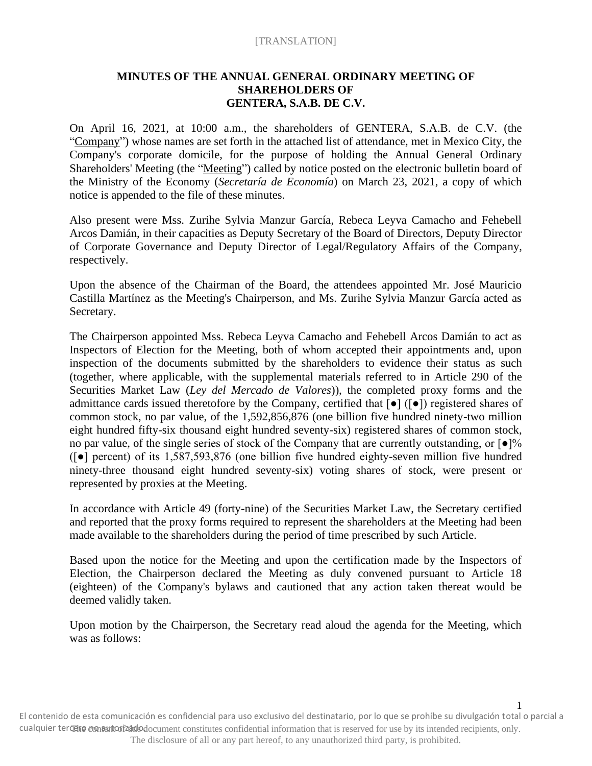## **MINUTES OF THE ANNUAL GENERAL ORDINARY MEETING OF SHAREHOLDERS OF GENTERA, S.A.B. DE C.V.**

On April 16, 2021, at 10:00 a.m., the shareholders of GENTERA, S.A.B. de C.V. (the "Company") whose names are set forth in the attached list of attendance, met in Mexico City, the Company's corporate domicile, for the purpose of holding the Annual General Ordinary Shareholders' Meeting (the "Meeting") called by notice posted on the electronic bulletin board of the Ministry of the Economy (*Secretaría de Economía*) on March 23, 2021, a copy of which notice is appended to the file of these minutes.

Also present were Mss. Zurihe Sylvia Manzur García, Rebeca Leyva Camacho and Fehebell Arcos Damián, in their capacities as Deputy Secretary of the Board of Directors, Deputy Director of Corporate Governance and Deputy Director of Legal/Regulatory Affairs of the Company, respectively.

Upon the absence of the Chairman of the Board, the attendees appointed Mr. José Mauricio Castilla Martínez as the Meeting's Chairperson, and Ms. Zurihe Sylvia Manzur García acted as Secretary.

The Chairperson appointed Mss. Rebeca Leyva Camacho and Fehebell Arcos Damián to act as Inspectors of Election for the Meeting, both of whom accepted their appointments and, upon inspection of the documents submitted by the shareholders to evidence their status as such (together, where applicable, with the supplemental materials referred to in Article 290 of the Securities Market Law (*Ley del Mercado de Valores*)), the completed proxy forms and the admittance cards issued theretofore by the Company, certified that [●] ([●]) registered shares of common stock, no par value, of the 1,592,856,876 (one billion five hundred ninety-two million eight hundred fifty-six thousand eight hundred seventy-six) registered shares of common stock, no par value, of the single series of stock of the Company that are currently outstanding, or  $\lceil \bullet \rceil\%$ ([●] percent) of its 1,587,593,876 (one billion five hundred eighty-seven million five hundred ninety-three thousand eight hundred seventy-six) voting shares of stock, were present or represented by proxies at the Meeting.

In accordance with Article 49 (forty-nine) of the Securities Market Law, the Secretary certified and reported that the proxy forms required to represent the shareholders at the Meeting had been made available to the shareholders during the period of time prescribed by such Article.

Based upon the notice for the Meeting and upon the certification made by the Inspectors of Election, the Chairperson declared the Meeting as duly convened pursuant to Article 18 (eighteen) of the Company's bylaws and cautioned that any action taken thereat would be deemed validly taken.

Upon motion by the Chairperson, the Secretary read aloud the agenda for the Meeting, which was as follows:

cualquier tercence coneutorizado. Coment constitutes confidential information that is reserved for use by its intended recipients, only. The disclosure of all or any part hereof, to any unauthorized third party, is prohibited. El contenido de esta comunicación es confidencial para uso exclusivo del destinatario, por lo que se prohíbe su divulgación total o parcial a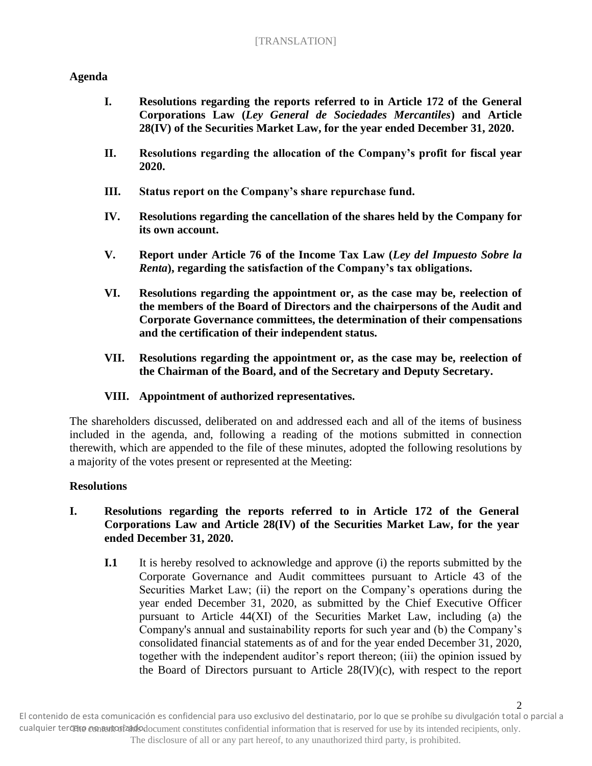## **Agenda**

- **I. Resolutions regarding the reports referred to in Article 172 of the General Corporations Law (***Ley General de Sociedades Mercantiles***) and Article 28(IV) of the Securities Market Law, for the year ended December 31, 2020.**
- **II. Resolutions regarding the allocation of the Company's profit for fiscal year 2020.**
- **III. Status report on the Company's share repurchase fund.**
- **IV. Resolutions regarding the cancellation of the shares held by the Company for its own account.**
- **V. Report under Article 76 of the Income Tax Law (***Ley del Impuesto Sobre la Renta***), regarding the satisfaction of the Company's tax obligations.**
- **VI. Resolutions regarding the appointment or, as the case may be, reelection of the members of the Board of Directors and the chairpersons of the Audit and Corporate Governance committees, the determination of their compensations and the certification of their independent status.**
- **VII. Resolutions regarding the appointment or, as the case may be, reelection of the Chairman of the Board, and of the Secretary and Deputy Secretary.**

## **VIII. Appointment of authorized representatives.**

The shareholders discussed, deliberated on and addressed each and all of the items of business included in the agenda, and, following a reading of the motions submitted in connection therewith, which are appended to the file of these minutes, adopted the following resolutions by a majority of the votes present or represented at the Meeting:

## **Resolutions**

# **I. Resolutions regarding the reports referred to in Article 172 of the General Corporations Law and Article 28(IV) of the Securities Market Law, for the year ended December 31, 2020.**

**I.1** It is hereby resolved to acknowledge and approve (i) the reports submitted by the Corporate Governance and Audit committees pursuant to Article 43 of the Securities Market Law; (ii) the report on the Company's operations during the year ended December 31, 2020, as submitted by the Chief Executive Officer pursuant to Article 44(XI) of the Securities Market Law, including (a) the Company's annual and sustainability reports for such year and (b) the Company's consolidated financial statements as of and for the year ended December 31, 2020, together with the independent auditor's report thereon; (iii) the opinion issued by the Board of Directors pursuant to Article 28(IV)(c), with respect to the report

2 cualquier tercence coneutorizado. Coment constitutes confidential information that is reserved for use by its intended recipients, only. The disclosure of all or any part hereof, to any unauthorized third party, is prohibited. El contenido de esta comunicación es confidencial para uso exclusivo del destinatario, por lo que se prohíbe su divulgación total o parcial a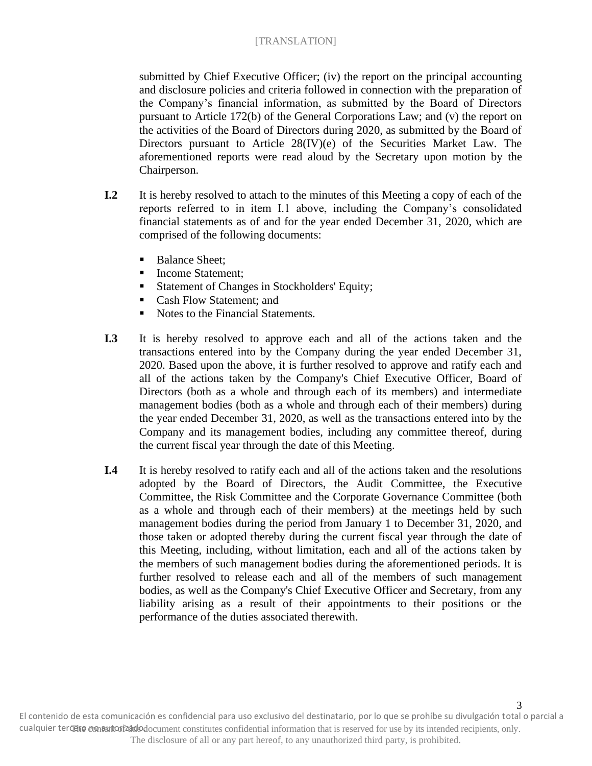submitted by Chief Executive Officer; (iv) the report on the principal accounting and disclosure policies and criteria followed in connection with the preparation of the Company's financial information, as submitted by the Board of Directors pursuant to Article 172(b) of the General Corporations Law; and (v) the report on the activities of the Board of Directors during 2020, as submitted by the Board of Directors pursuant to Article 28(IV)(e) of the Securities Market Law. The aforementioned reports were read aloud by the Secretary upon motion by the Chairperson.

- **I.2** It is hereby resolved to attach to the minutes of this Meeting a copy of each of the reports referred to in item I.1 above, including the Company's consolidated financial statements as of and for the year ended December 31, 2020, which are comprised of the following documents:
	- Balance Sheet;
	- Income Statement:
	- **Exercise 1** Statement of Changes in Stockholders' Equity;
	- Cash Flow Statement: and
	- Notes to the Financial Statements.
- **I.3** It is hereby resolved to approve each and all of the actions taken and the transactions entered into by the Company during the year ended December 31, 2020. Based upon the above, it is further resolved to approve and ratify each and all of the actions taken by the Company's Chief Executive Officer, Board of Directors (both as a whole and through each of its members) and intermediate management bodies (both as a whole and through each of their members) during the year ended December 31, 2020, as well as the transactions entered into by the Company and its management bodies, including any committee thereof, during the current fiscal year through the date of this Meeting.
- **I.4** It is hereby resolved to ratify each and all of the actions taken and the resolutions adopted by the Board of Directors, the Audit Committee, the Executive Committee, the Risk Committee and the Corporate Governance Committee (both as a whole and through each of their members) at the meetings held by such management bodies during the period from January 1 to December 31, 2020, and those taken or adopted thereby during the current fiscal year through the date of this Meeting, including, without limitation, each and all of the actions taken by the members of such management bodies during the aforementioned periods. It is further resolved to release each and all of the members of such management bodies, as well as the Company's Chief Executive Officer and Secretary, from any liability arising as a result of their appointments to their positions or the performance of the duties associated therewith.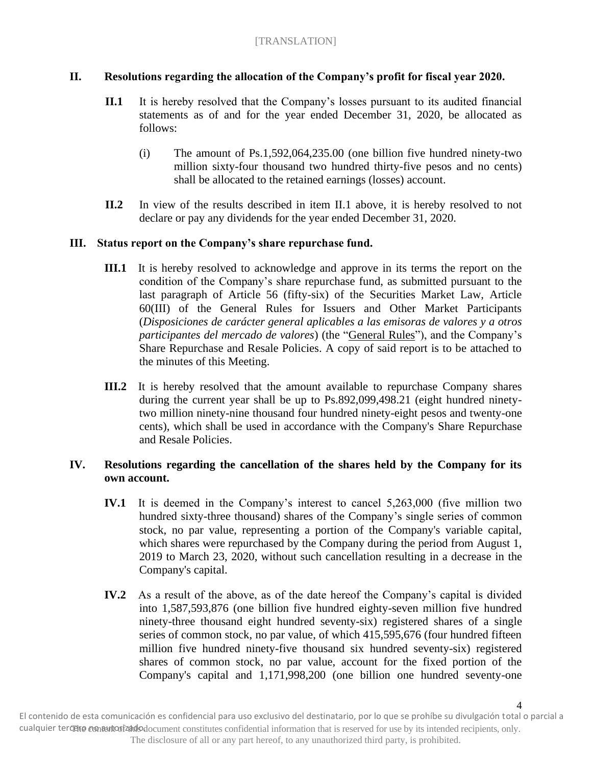# **II. Resolutions regarding the allocation of the Company's profit for fiscal year 2020.**

- **II.1** It is hereby resolved that the Company's losses pursuant to its audited financial statements as of and for the year ended December 31, 2020, be allocated as follows:
	- (i) The amount of Ps.1,592,064,235.00 (one billion five hundred ninety-two million sixty-four thousand two hundred thirty-five pesos and no cents) shall be allocated to the retained earnings (losses) account.
- **II.2** In view of the results described in item II.1 above, it is hereby resolved to not declare or pay any dividends for the year ended December 31, 2020.

# **III. Status report on the Company's share repurchase fund.**

- **III.1** It is hereby resolved to acknowledge and approve in its terms the report on the condition of the Company's share repurchase fund, as submitted pursuant to the last paragraph of Article 56 (fifty-six) of the Securities Market Law, Article 60(III) of the General Rules for Issuers and Other Market Participants (*Disposiciones de carácter general aplicables a las emisoras de valores y a otros participantes del mercado de valores*) (the "General Rules"), and the Company's Share Repurchase and Resale Policies. A copy of said report is to be attached to the minutes of this Meeting.
- **III.2** It is hereby resolved that the amount available to repurchase Company shares during the current year shall be up to Ps.892,099,498.21 (eight hundred ninetytwo million ninety-nine thousand four hundred ninety-eight pesos and twenty-one cents), which shall be used in accordance with the Company's Share Repurchase and Resale Policies.

# **IV. Resolutions regarding the cancellation of the shares held by the Company for its own account.**

- **IV.1** It is deemed in the Company's interest to cancel 5,263,000 (five million two hundred sixty-three thousand) shares of the Company's single series of common stock, no par value, representing a portion of the Company's variable capital, which shares were repurchased by the Company during the period from August 1, 2019 to March 23, 2020, without such cancellation resulting in a decrease in the Company's capital.
- **IV.2** As a result of the above, as of the date hereof the Company's capital is divided into 1,587,593,876 (one billion five hundred eighty-seven million five hundred ninety-three thousand eight hundred seventy-six) registered shares of a single series of common stock, no par value, of which 415,595,676 (four hundred fifteen million five hundred ninety-five thousand six hundred seventy-six) registered shares of common stock, no par value, account for the fixed portion of the Company's capital and 1,171,998,200 (one billion one hundred seventy-one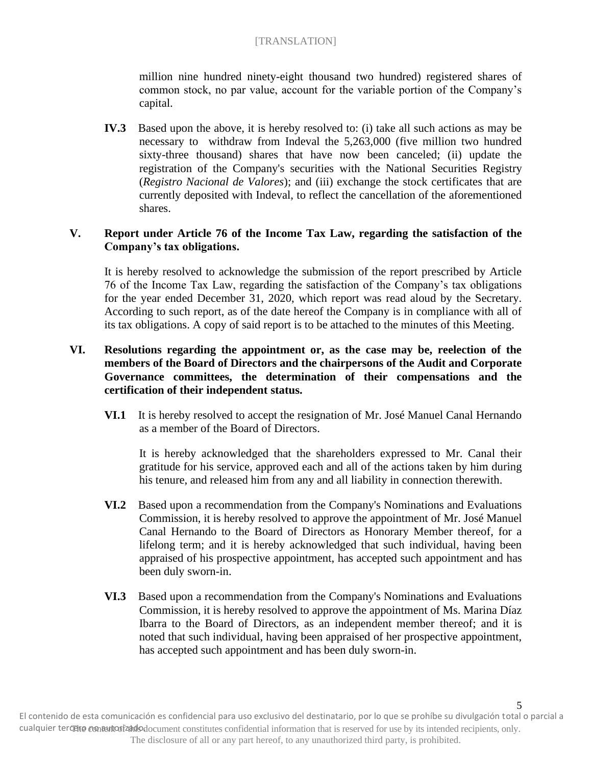million nine hundred ninety-eight thousand two hundred) registered shares of common stock, no par value, account for the variable portion of the Company's capital.

**IV.3** Based upon the above, it is hereby resolved to: (i) take all such actions as may be necessary to withdraw from Indeval the 5,263,000 (five million two hundred sixty-three thousand) shares that have now been canceled; (ii) update the registration of the Company's securities with the National Securities Registry (*Registro Nacional de Valores*); and (iii) exchange the stock certificates that are currently deposited with Indeval, to reflect the cancellation of the aforementioned shares.

## **V. Report under Article 76 of the Income Tax Law, regarding the satisfaction of the Company's tax obligations.**

It is hereby resolved to acknowledge the submission of the report prescribed by Article 76 of the Income Tax Law, regarding the satisfaction of the Company's tax obligations for the year ended December 31, 2020, which report was read aloud by the Secretary. According to such report, as of the date hereof the Company is in compliance with all of its tax obligations. A copy of said report is to be attached to the minutes of this Meeting.

## **VI. Resolutions regarding the appointment or, as the case may be, reelection of the members of the Board of Directors and the chairpersons of the Audit and Corporate Governance committees, the determination of their compensations and the certification of their independent status.**

**VI.1** It is hereby resolved to accept the resignation of Mr. José Manuel Canal Hernando as a member of the Board of Directors.

It is hereby acknowledged that the shareholders expressed to Mr. Canal their gratitude for his service, approved each and all of the actions taken by him during his tenure, and released him from any and all liability in connection therewith.

- **VI.2** Based upon a recommendation from the Company's Nominations and Evaluations Commission, it is hereby resolved to approve the appointment of Mr. José Manuel Canal Hernando to the Board of Directors as Honorary Member thereof, for a lifelong term; and it is hereby acknowledged that such individual, having been appraised of his prospective appointment, has accepted such appointment and has been duly sworn-in.
- **VI.3** Based upon a recommendation from the Company's Nominations and Evaluations Commission, it is hereby resolved to approve the appointment of Ms. Marina Díaz Ibarra to the Board of Directors, as an independent member thereof; and it is noted that such individual, having been appraised of her prospective appointment, has accepted such appointment and has been duly sworn-in.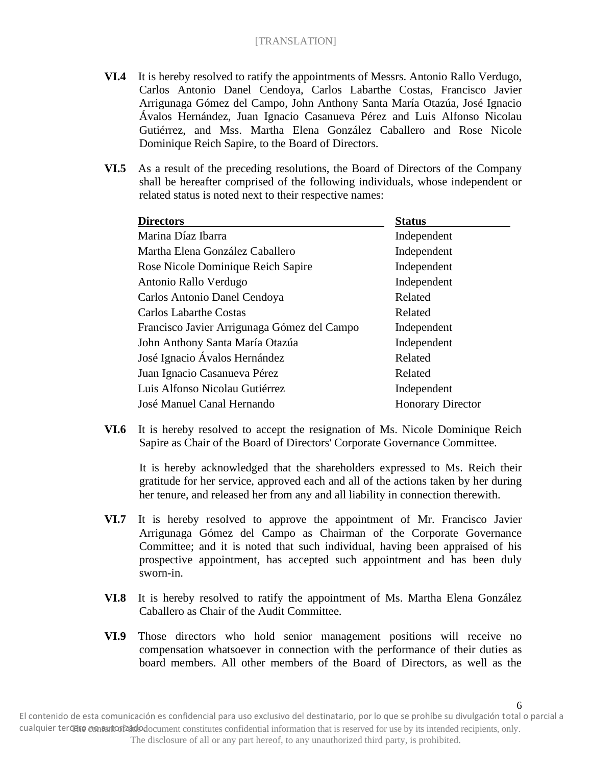- **VI.4** It is hereby resolved to ratify the appointments of Messrs. Antonio Rallo Verdugo, Carlos Antonio Danel Cendoya, Carlos Labarthe Costas, Francisco Javier Arrigunaga Gómez del Campo, John Anthony Santa María Otazúa, José Ignacio Ávalos Hernández, Juan Ignacio Casanueva Pérez and Luis Alfonso Nicolau Gutiérrez, and Mss. Martha Elena González Caballero and Rose Nicole Dominique Reich Sapire, to the Board of Directors.
- **VI.5** As a result of the preceding resolutions, the Board of Directors of the Company shall be hereafter comprised of the following individuals, whose independent or related status is noted next to their respective names:

| <b>Directors</b>                            | <b>Status</b>            |
|---------------------------------------------|--------------------------|
| Marina Díaz Ibarra                          | Independent              |
| Martha Elena González Caballero             | Independent              |
| Rose Nicole Dominique Reich Sapire          | Independent              |
| Antonio Rallo Verdugo                       | Independent              |
| Carlos Antonio Danel Cendoya                | Related                  |
| Carlos Labarthe Costas                      | Related                  |
| Francisco Javier Arrigunaga Gómez del Campo | Independent              |
| John Anthony Santa María Otazúa             | Independent              |
| José Ignacio Ávalos Hernández               | Related                  |
| Juan Ignacio Casanueva Pérez                | Related                  |
| Luis Alfonso Nicolau Gutiérrez              | Independent              |
| José Manuel Canal Hernando                  | <b>Honorary Director</b> |

**VI.6** It is hereby resolved to accept the resignation of Ms. Nicole Dominique Reich Sapire as Chair of the Board of Directors' Corporate Governance Committee.

It is hereby acknowledged that the shareholders expressed to Ms. Reich their gratitude for her service, approved each and all of the actions taken by her during her tenure, and released her from any and all liability in connection therewith.

- **VI.7** It is hereby resolved to approve the appointment of Mr. Francisco Javier Arrigunaga Gómez del Campo as Chairman of the Corporate Governance Committee; and it is noted that such individual, having been appraised of his prospective appointment, has accepted such appointment and has been duly sworn-in.
- **VI.8** It is hereby resolved to ratify the appointment of Ms. Martha Elena González Caballero as Chair of the Audit Committee.
- **VI.9** Those directors who hold senior management positions will receive no compensation whatsoever in connection with the performance of their duties as board members. All other members of the Board of Directors, as well as the

cualquier tercence coneutorizado. Coment constitutes confidential information that is reserved for use by its intended recipients, only. The disclosure of all or any part hereof, to any unauthorized third party, is prohibited. El contenido de esta comunicación es confidencial para uso exclusivo del destinatario, por lo que se prohíbe su divulgación total o parcial a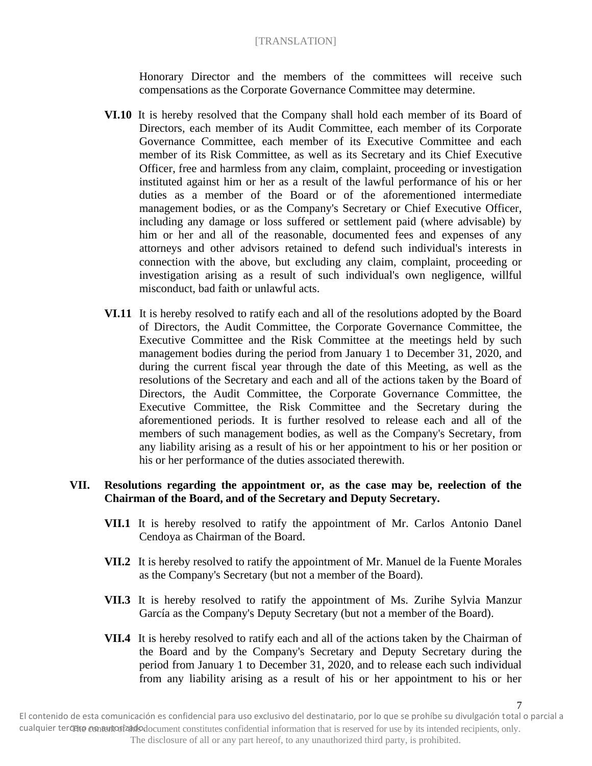Honorary Director and the members of the committees will receive such compensations as the Corporate Governance Committee may determine.

- **VI.10** It is hereby resolved that the Company shall hold each member of its Board of Directors, each member of its Audit Committee, each member of its Corporate Governance Committee, each member of its Executive Committee and each member of its Risk Committee, as well as its Secretary and its Chief Executive Officer, free and harmless from any claim, complaint, proceeding or investigation instituted against him or her as a result of the lawful performance of his or her duties as a member of the Board or of the aforementioned intermediate management bodies, or as the Company's Secretary or Chief Executive Officer, including any damage or loss suffered or settlement paid (where advisable) by him or her and all of the reasonable, documented fees and expenses of any attorneys and other advisors retained to defend such individual's interests in connection with the above, but excluding any claim, complaint, proceeding or investigation arising as a result of such individual's own negligence, willful misconduct, bad faith or unlawful acts.
- **VI.11** It is hereby resolved to ratify each and all of the resolutions adopted by the Board of Directors, the Audit Committee, the Corporate Governance Committee, the Executive Committee and the Risk Committee at the meetings held by such management bodies during the period from January 1 to December 31, 2020, and during the current fiscal year through the date of this Meeting, as well as the resolutions of the Secretary and each and all of the actions taken by the Board of Directors, the Audit Committee, the Corporate Governance Committee, the Executive Committee, the Risk Committee and the Secretary during the aforementioned periods. It is further resolved to release each and all of the members of such management bodies, as well as the Company's Secretary, from any liability arising as a result of his or her appointment to his or her position or his or her performance of the duties associated therewith.

# **VII. Resolutions regarding the appointment or, as the case may be, reelection of the Chairman of the Board, and of the Secretary and Deputy Secretary.**

- **VII.1** It is hereby resolved to ratify the appointment of Mr. Carlos Antonio Danel Cendoya as Chairman of the Board.
- **VII.2** It is hereby resolved to ratify the appointment of Mr. Manuel de la Fuente Morales as the Company's Secretary (but not a member of the Board).
- **VII.3** It is hereby resolved to ratify the appointment of Ms. Zurihe Sylvia Manzur García as the Company's Deputy Secretary (but not a member of the Board).
- **VII.4** It is hereby resolved to ratify each and all of the actions taken by the Chairman of the Board and by the Company's Secretary and Deputy Secretary during the period from January 1 to December 31, 2020, and to release each such individual from any liability arising as a result of his or her appointment to his or her

7 cualquier tercence coneutorizado. Coment constitutes confidential information that is reserved for use by its intended recipients, only. The disclosure of all or any part hereof, to any unauthorized third party, is prohibited. El contenido de esta comunicación es confidencial para uso exclusivo del destinatario, por lo que se prohíbe su divulgación total o parcial a